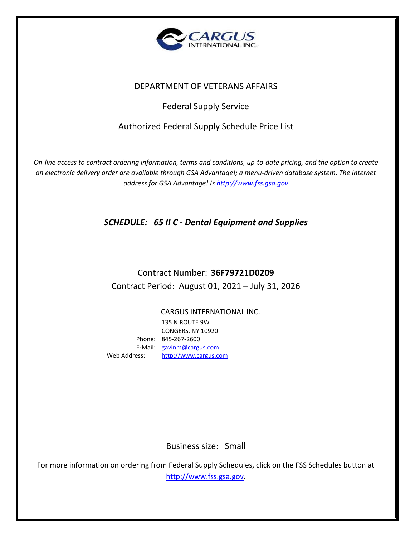

## DEPARTMENT OF VETERANS AFFAIRS

## Federal Supply Service

## Authorized Federal Supply Schedule Price List

*On-line access to contract ordering information, terms and conditions, up-to-date pricing, and the option to create an electronic delivery order are available through GSA Advantage!; a menu-driven database system. The Internet address for GSA Advantage! Is [http://www.fss.gsa.gov](http://www.fss.gsa.gov/)*

*SCHEDULE: 65 II C - Dental Equipment and Supplies*

# Contract Number: **36F79721D0209** Contract Period: August 01, 2021 – July 31, 2026

CARGUS INTERNATIONAL INC. 135 N.ROUTE 9W CONGERS, NY 10920 Phone: 845-267-2600 E-Mail: [gavinm@cargus.com](mailto:gavinm@cargus.com) Web Address: [http://www.cargus.com](http://www.cargus.com/)

Business size: Small

For more information on ordering from Federal Supply Schedules, click on the FSS Schedules button at [http://www.fss.gsa.gov.](http://www.fss.gsa.gov/)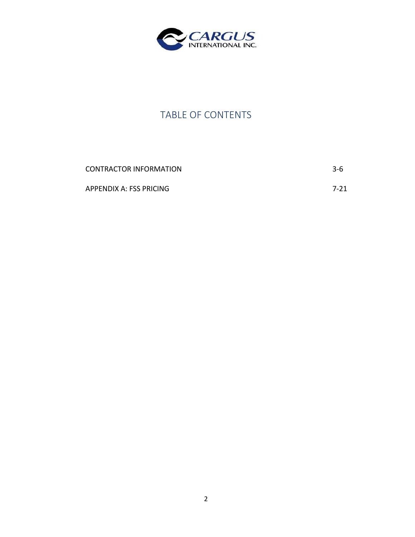

# TABLE OF CONTENTS

| CONTRACTOR INFORMATION  | $3-6$    |
|-------------------------|----------|
| APPENDIX A: FSS PRICING | $7 - 21$ |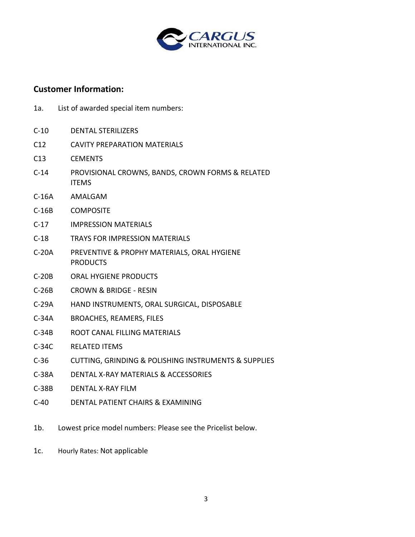

### **Customer Information:**

- 1a. List of awarded special item numbers:
- C-10 DENTAL STERILIZERS
- C12 CAVITY PREPARATION MATERIALS
- C13 CEMENTS
- C-14 PROVISIONAL CROWNS, BANDS, CROWN FORMS & RELATED ITEMS
- C-16A AMALGAM
- C-16B **COMPOSITE**
- C-17 IMPRESSION MATERIALS
- C-18 TRAYS FOR IMPRESSION MATERIALS
- C-20A PREVENTIVE & PROPHY MATERIALS, ORAL HYGIENE PRODUCTS
- C-20B ORAL HYGIENE PRODUCTS
- C-26B CROWN & BRIDGE - RESIN
- C-29A HAND INSTRUMENTS, ORAL SURGICAL, DISPOSABLE
- C-34A BROACHES, REAMERS, FILES
- C-34B ROOT CANAL FILLING MATERIALS
- C-34C RELATED ITEMS
- C-36 CUTTING, GRINDING & POLISHING INSTRUMENTS & SUPPLIES
- C-38A DENTAL X-RAY MATERIALS & ACCESSORIES
- C-38B DENTAL X-RAY FILM
- C-40 DENTAL PATIENT CHAIRS & EXAMINING
- 1b. Lowest price model numbers: Please see the Pricelist below.
- 1c. Hourly Rates: Not applicable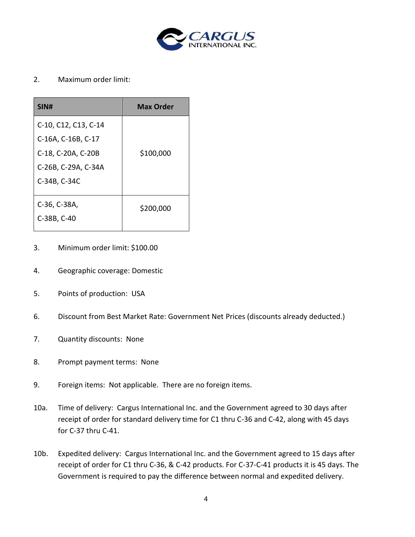

### 2. Maximum order limit:

| SIN#                                                                                                    | <b>Max Order</b> |
|---------------------------------------------------------------------------------------------------------|------------------|
| C-10, C12, C13, C-14<br>C-16A, C-16B, C-17<br>C-18, C-20A, C-20B<br>C-26B, C-29A, C-34A<br>C-34B, C-34C | \$100,000        |
| C-36, C-38A,<br>C-38B, C-40                                                                             | \$200,000        |

- 3. Minimum order limit: \$100.00
- 4. Geographic coverage: Domestic
- 5. Points of production: USA
- 6. Discount from Best Market Rate: Government Net Prices (discounts already deducted.)
- 7. Quantity discounts: None
- 8. Prompt payment terms: None
- 9. Foreign items: Not applicable. There are no foreign items.
- 10a. Time of delivery: Cargus International Inc. and the Government agreed to 30 days after receipt of order for standard delivery time for C1 thru C-36 and C-42, along with 45 days for C-37 thru C-41.
- 10b. Expedited delivery: Cargus International Inc. and the Government agreed to 15 days after receipt of order for C1 thru C-36, & C-42 products. For C-37-C-41 products it is 45 days. The Government is required to pay the difference between normal and expedited delivery.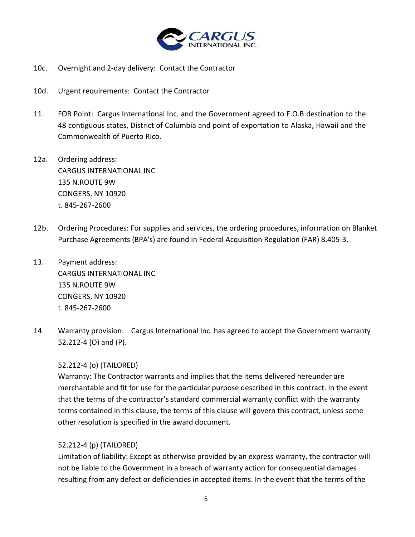

- 10c. Overnight and 2-day delivery: Contact the Contractor
- 10d. Urgent requirements: Contact the Contractor
- 11. FOB Point: Cargus International Inc. and the Government agreed to F.O.B destination to the 48 contiguous states, District of Columbia and point of exportation to Alaska, Hawaii and the Commonwealth of Puerto Rico.
- 12a. Ordering address: CARGUS INTERNATIONAL INC 135 N.ROUTE 9W CONGERS, NY 10920 t. 845-267-2600
- 12b. Ordering Procedures: For supplies and services, the ordering procedures, information on Blanket Purchase Agreements (BPA's) are found in Federal Acquisition Regulation (FAR) 8.405-3.
- 13. Payment address: CARGUS INTERNATIONAL INC 135 N.ROUTE 9W CONGERS, NY 10920 t. 845-267-2600
- 14. Warranty provision: Cargus International Inc. has agreed to accept the Government warranty 52.212-4 (O) and (P).

#### 52.212-4 (o) (TAILORED)

Warranty: The Contractor warrants and implies that the items delivered hereunder are merchantable and fit for use for the particular purpose described in this contract. In the event that the terms of the contractor's standard commercial warranty conflict with the warranty terms contained in this clause, the terms of this clause will govern this contract, unless some other resolution is specified in the award document.

#### 52.212-4 (p) (TAILORED)

Limitation of liability: Except as otherwise provided by an express warranty, the contractor will not be liable to the Government in a breach of warranty action for consequential damages resulting from any defect or deficiencies in accepted items. In the event that the terms of the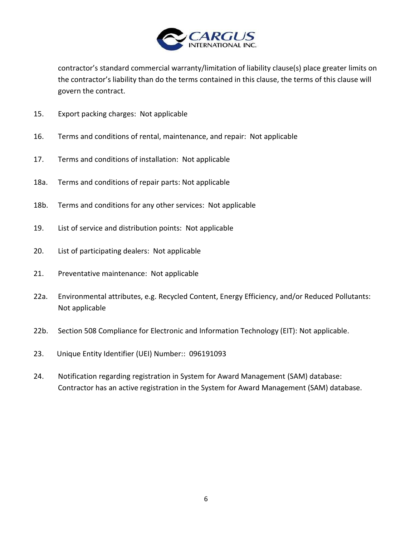

contractor's standard commercial warranty/limitation of liability clause(s) place greater limits on the contractor's liability than do the terms contained in this clause, the terms of this clause will govern the contract.

- 15. Export packing charges: Not applicable
- 16. Terms and conditions of rental, maintenance, and repair: Not applicable
- 17. Terms and conditions of installation: Not applicable
- 18a. Terms and conditions of repair parts: Not applicable
- 18b. Terms and conditions for any other services: Not applicable
- 19. List of service and distribution points: Not applicable
- 20. List of participating dealers: Not applicable
- 21. Preventative maintenance: Not applicable
- 22a. Environmental attributes, e.g. Recycled Content, Energy Efficiency, and/or Reduced Pollutants: Not applicable
- 22b. Section 508 Compliance for Electronic and Information Technology (EIT): Not applicable.
- 23. Unique Entity Identifier (UEI) Number:: 096191093
- 24. Notification regarding registration in System for Award Management (SAM) database: Contractor has an active registration in the System for Award Management (SAM) database.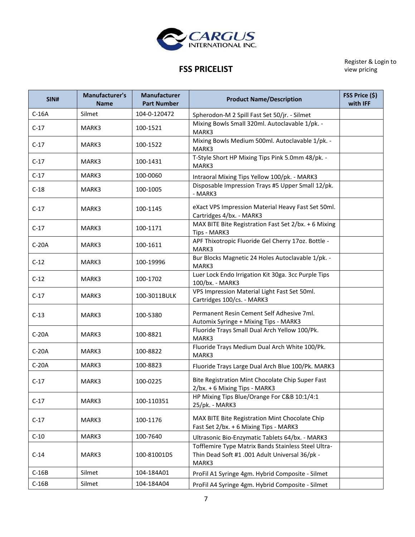

Register & Login to view pricing

# **FSS PRICELIST**

| SIN#    | Manufacturer's<br><b>Name</b> | <b>Manufacturer</b><br><b>Part Number</b> | <b>Product Name/Description</b>                                                                                | FSS Price (\$)<br>with IFF |
|---------|-------------------------------|-------------------------------------------|----------------------------------------------------------------------------------------------------------------|----------------------------|
| $C-16A$ | Silmet                        | 104-0-120472                              | Spherodon-M 2 Spill Fast Set 50/jr. - Silmet                                                                   |                            |
| $C-17$  | MARK3                         | 100-1521                                  | Mixing Bowls Small 320ml. Autoclavable 1/pk. -<br>MARK3                                                        |                            |
| $C-17$  | MARK3                         | 100-1522                                  | Mixing Bowls Medium 500ml. Autoclavable 1/pk. -<br>MARK3                                                       |                            |
| $C-17$  | MARK3                         | 100-1431                                  | T-Style Short HP Mixing Tips Pink 5.0mm 48/pk. -<br>MARK3                                                      |                            |
| $C-17$  | MARK3                         | 100-0060                                  | Intraoral Mixing Tips Yellow 100/pk. - MARK3                                                                   |                            |
| $C-18$  | MARK3                         | 100-1005                                  | Disposable Impression Trays #5 Upper Small 12/pk.<br>- MARK3                                                   |                            |
| $C-17$  | MARK3                         | 100-1145                                  | eXact VPS Impression Material Heavy Fast Set 50ml.<br>Cartridges 4/bx. - MARK3                                 |                            |
| $C-17$  | MARK3                         | 100-1171                                  | MAX BITE Bite Registration Fast Set 2/bx. + 6 Mixing<br>Tips - MARK3                                           |                            |
| $C-20A$ | MARK3                         | 100-1611                                  | APF Thixotropic Fluoride Gel Cherry 17oz. Bottle -<br>MARK3                                                    |                            |
| $C-12$  | MARK3                         | 100-19996                                 | Bur Blocks Magnetic 24 Holes Autoclavable 1/pk. -<br>MARK3                                                     |                            |
| $C-12$  | MARK3                         | 100-1702                                  | Luer Lock Endo Irrigation Kit 30ga. 3cc Purple Tips<br>100/bx. - MARK3                                         |                            |
| $C-17$  | MARK3                         | 100-3011BULK                              | VPS Impression Material Light Fast Set 50ml.<br>Cartridges 100/cs. - MARK3                                     |                            |
| $C-13$  | MARK3                         | 100-5380                                  | Permanent Resin Cement Self Adhesive 7ml.<br>Automix Syringe + Mixing Tips - MARK3                             |                            |
| $C-20A$ | MARK3                         | 100-8821                                  | Fluoride Trays Small Dual Arch Yellow 100/Pk.<br>MARK3                                                         |                            |
| $C-20A$ | MARK3                         | 100-8822                                  | Fluoride Trays Medium Dual Arch White 100/Pk.<br>MARK3                                                         |                            |
| $C-20A$ | MARK3                         | 100-8823                                  | Fluoride Trays Large Dual Arch Blue 100/Pk. MARK3                                                              |                            |
| $C-17$  | MARK3                         | 100-0225                                  | Bite Registration Mint Chocolate Chip Super Fast<br>2/bx. + 6 Mixing Tips - MARK3                              |                            |
| $C-17$  | MARK3                         | 100-110351                                | HP Mixing Tips Blue/Orange For C&B 10:1/4:1<br>25/pk. - MARK3                                                  |                            |
| $C-17$  | MARK3                         | 100-1176                                  | MAX BITE Bite Registration Mint Chocolate Chip<br>Fast Set 2/bx. + 6 Mixing Tips - MARK3                       |                            |
| $C-10$  | MARK3                         | 100-7640                                  | Ultrasonic Bio-Enzymatic Tablets 64/bx. - MARK3                                                                |                            |
| $C-14$  | MARK3                         | 100-81001DS                               | Tofflemire Type Matrix Bands Stainless Steel Ultra-<br>Thin Dead Soft #1 .001 Adult Universal 36/pk -<br>MARK3 |                            |
| $C-16B$ | Silmet                        | 104-184A01                                | ProFil A1 Syringe 4gm. Hybrid Composite - Silmet                                                               |                            |
| $C-16B$ | Silmet                        | 104-184A04                                | ProFil A4 Syringe 4gm. Hybrid Composite - Silmet                                                               |                            |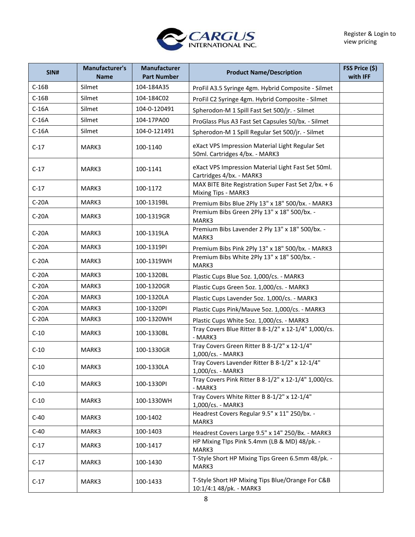

| SIN#    | Manufacturer's<br><b>Name</b> | Manufacturer<br><b>Part Number</b> | <b>Product Name/Description</b>                                                   | FSS Price (\$)<br>with IFF |
|---------|-------------------------------|------------------------------------|-----------------------------------------------------------------------------------|----------------------------|
| $C-16B$ | Silmet                        | 104-184A35                         | ProFil A3.5 Syringe 4gm. Hybrid Composite - Silmet                                |                            |
| $C-16B$ | Silmet                        | 104-184C02                         | ProFil C2 Syringe 4gm. Hybrid Composite - Silmet                                  |                            |
| $C-16A$ | Silmet                        | 104-0-120491                       | Spherodon-M 1 Spill Fast Set 500/jr. - Silmet                                     |                            |
| $C-16A$ | Silmet                        | 104-17PA00                         | ProGlass Plus A3 Fast Set Capsules 50/bx. - Silmet                                |                            |
| $C-16A$ | Silmet                        | 104-0-121491                       | Spherodon-M 1 Spill Regular Set 500/jr. - Silmet                                  |                            |
| $C-17$  | MARK3                         | 100-1140                           | eXact VPS Impression Material Light Regular Set<br>50ml. Cartridges 4/bx. - MARK3 |                            |
| $C-17$  | MARK3                         | 100-1141                           | eXact VPS Impression Material Light Fast Set 50ml.<br>Cartridges 4/bx. - MARK3    |                            |
| $C-17$  | MARK3                         | 100-1172                           | MAX BITE Bite Registration Super Fast Set 2/bx. + 6<br>Mixing Tips - MARK3        |                            |
| $C-20A$ | MARK3                         | 100-1319BL                         | Premium Bibs Blue 2Ply 13" x 18" 500/bx. - MARK3                                  |                            |
| $C-20A$ | MARK3                         | 100-1319GR                         | Premium Bibs Green 2Ply 13" x 18" 500/bx. -<br>MARK3                              |                            |
| $C-20A$ | MARK3                         | 100-1319LA                         | Premium Bibs Lavender 2 Ply 13" x 18" 500/bx. -<br>MARK3                          |                            |
| $C-20A$ | MARK3                         | 100-1319PI                         | Premium Bibs Pink 2Ply 13" x 18" 500/bx. - MARK3                                  |                            |
| $C-20A$ | MARK3                         | 100-1319WH                         | Premium Bibs White 2Ply 13" x 18" 500/bx. -<br>MARK3                              |                            |
| $C-20A$ | MARK3                         | 100-1320BL                         | Plastic Cups Blue 5oz. 1,000/cs. - MARK3                                          |                            |
| $C-20A$ | MARK3                         | 100-1320GR                         | Plastic Cups Green 5oz. 1,000/cs. - MARK3                                         |                            |
| $C-20A$ | MARK3                         | 100-1320LA                         | Plastic Cups Lavender 5oz. 1,000/cs. - MARK3                                      |                            |
| $C-20A$ | MARK3                         | 100-1320PI                         | Plastic Cups Pink/Mauve 5oz. 1,000/cs. - MARK3                                    |                            |
| $C-20A$ | MARK3                         | 100-1320WH                         | Plastic Cups White 5oz. 1,000/cs. - MARK3                                         |                            |
| $C-10$  | MARK3                         | 100-1330BL                         | Tray Covers Blue Ritter B 8-1/2" x 12-1/4" 1,000/cs.<br>- MARK3                   |                            |
| $C-10$  | MARK3                         | 100-1330GR                         | Tray Covers Green Ritter B 8-1/2" x 12-1/4"<br>1,000/cs. - MARK3                  |                            |
| $C-10$  | MARK3                         | 100-1330LA                         | Tray Covers Lavender Ritter B 8-1/2" x 12-1/4"<br>1,000/cs. - MARK3               |                            |
| $C-10$  | MARK3                         | 100-1330PI                         | Tray Covers Pink Ritter B 8-1/2" x 12-1/4" 1,000/cs.<br>- MARK3                   |                            |
| $C-10$  | MARK3                         | 100-1330WH                         | Tray Covers White Ritter B 8-1/2" x 12-1/4"<br>1,000/cs. - MARK3                  |                            |
| $C-40$  | MARK3                         | 100-1402                           | Headrest Covers Regular 9.5" x 11" 250/bx. -<br>MARK3                             |                            |
| $C-40$  | MARK3                         | 100-1403                           | Headrest Covers Large 9.5" x 14" 250/Bx. - MARK3                                  |                            |
| $C-17$  | MARK3                         | 100-1417                           | HP Mixing Tlps Pink 5.4mm (LB & MD) 48/pk. -<br>MARK3                             |                            |
| $C-17$  | MARK3                         | 100-1430                           | T-Style Short HP Mixing Tips Green 6.5mm 48/pk. -<br>MARK3                        |                            |
| $C-17$  | MARK3                         | 100-1433                           | T-Style Short HP Mixing Tips Blue/Orange For C&B<br>10:1/4:1 48/pk. - MARK3       |                            |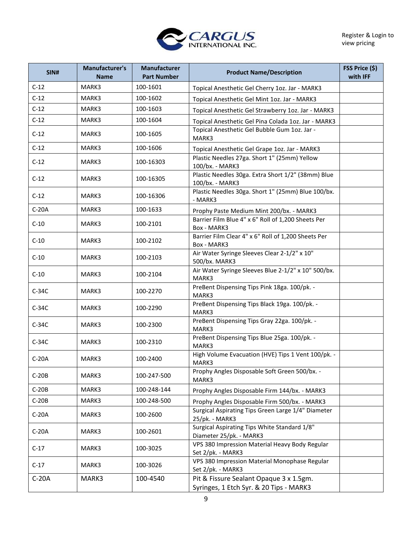

| SIN#    | <b>Manufacturer's</b><br><b>Name</b> | <b>Manufacturer</b><br><b>Part Number</b> | <b>Product Name/Description</b>                                                    | FSS Price (\$)<br>with IFF |
|---------|--------------------------------------|-------------------------------------------|------------------------------------------------------------------------------------|----------------------------|
| $C-12$  | MARK3                                | 100-1601                                  | Topical Anesthetic Gel Cherry 1oz. Jar - MARK3                                     |                            |
| $C-12$  | MARK3                                | 100-1602                                  | Topical Anesthetic Gel Mint 1oz. Jar - MARK3                                       |                            |
| $C-12$  | MARK3                                | 100-1603                                  | Topical Anesthetic Gel Strawberry 1oz. Jar - MARK3                                 |                            |
| $C-12$  | MARK3                                | 100-1604                                  | Topical Anesthetic Gel Pina Colada 1oz. Jar - MARK3                                |                            |
| $C-12$  | MARK3                                | 100-1605                                  | Topical Anesthetic Gel Bubble Gum 1oz. Jar -<br>MARK3                              |                            |
| $C-12$  | MARK3                                | 100-1606                                  | Topical Anesthetic Gel Grape 1oz. Jar - MARK3                                      |                            |
| $C-12$  | MARK3                                | 100-16303                                 | Plastic Needles 27ga. Short 1" (25mm) Yellow<br>100/bx. - MARK3                    |                            |
| $C-12$  | MARK3                                | 100-16305                                 | Plastic Needles 30ga. Extra Short 1/2" (38mm) Blue<br>100/bx. - MARK3              |                            |
| $C-12$  | MARK3                                | 100-16306                                 | Plastic Needles 30ga. Short 1" (25mm) Blue 100/bx.<br>- MARK3                      |                            |
| $C-20A$ | MARK3                                | 100-1633                                  | Prophy Paste Medium Mint 200/bx. - MARK3                                           |                            |
| $C-10$  | MARK3                                | 100-2101                                  | Barrier Film Blue 4" x 6" Roll of 1,200 Sheets Per<br>Box - MARK3                  |                            |
| $C-10$  | MARK3                                | 100-2102                                  | Barrier Film Clear 4" x 6" Roll of 1,200 Sheets Per<br>Box - MARK3                 |                            |
| $C-10$  | MARK3                                | 100-2103                                  | Air Water Syringe Sleeves Clear 2-1/2" x 10"<br>500/bx. MARK3                      |                            |
| $C-10$  | MARK3                                | 100-2104                                  | Air Water Syringe Sleeves Blue 2-1/2" x 10" 500/bx.<br>MARK3                       |                            |
| $C-34C$ | MARK3                                | 100-2270                                  | PreBent Dispensing Tips Pink 18ga. 100/pk. -<br>MARK3                              |                            |
| $C-34C$ | MARK3                                | 100-2290                                  | PreBent Dispensing Tips Black 19ga. 100/pk. -<br>MARK3                             |                            |
| $C-34C$ | MARK3                                | 100-2300                                  | PreBent Dispensing Tips Gray 22ga. 100/pk. -<br>MARK3                              |                            |
| $C-34C$ | MARK3                                | 100-2310                                  | PreBent Dispensing Tips Blue 25ga. 100/pk. -<br>MARK3                              |                            |
| $C-20A$ | MARK3                                | 100-2400                                  | High Volume Evacuation (HVE) Tips 1 Vent 100/pk. -<br>MARK3                        |                            |
| $C-20B$ | MARK3                                | 100-247-500                               | Prophy Angles Disposable Soft Green 500/bx. -<br>MARK3                             |                            |
| $C-20B$ | MARK3                                | 100-248-144                               | Prophy Angles Disposable Firm 144/bx. - MARK3                                      |                            |
| $C-20B$ | MARK3                                | 100-248-500                               | Prophy Angles Disposable Firm 500/bx. - MARK3                                      |                            |
| $C-20A$ | MARK3                                | 100-2600                                  | Surgical Aspirating Tips Green Large 1/4" Diameter<br>25/pk. - MARK3               |                            |
| $C-20A$ | MARK3                                | 100-2601                                  | Surgical Aspirating Tips White Standard 1/8"<br>Diameter 25/pk. - MARK3            |                            |
| $C-17$  | MARK3                                | 100-3025                                  | VPS 380 Impression Material Heavy Body Regular<br>Set 2/pk. - MARK3                |                            |
| $C-17$  | MARK3                                | 100-3026                                  | VPS 380 Impression Material Monophase Regular<br>Set 2/pk. - MARK3                 |                            |
| $C-20A$ | MARK3                                | 100-4540                                  | Pit & Fissure Sealant Opaque 3 x 1.5gm.<br>Syringes, 1 Etch Syr. & 20 Tips - MARK3 |                            |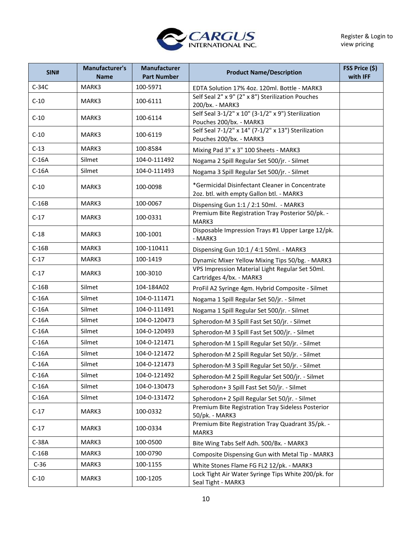

| SIN#    | Manufacturer's<br><b>Name</b> | <b>Manufacturer</b><br><b>Part Number</b> | <b>Product Name/Description</b>                                                             | FSS Price (\$)<br>with IFF |
|---------|-------------------------------|-------------------------------------------|---------------------------------------------------------------------------------------------|----------------------------|
| $C-34C$ | MARK3                         | 100-5971                                  | EDTA Solution 17% 4oz. 120ml. Bottle - MARK3                                                |                            |
| $C-10$  | MARK3                         | 100-6111                                  | Self Seal 2" x 9" (2" x 8") Sterilization Pouches<br>200/bx. - MARK3                        |                            |
| $C-10$  | MARK3                         | 100-6114                                  | Self Seal 3-1/2" x 10" (3-1/2" x 9") Sterilization<br>Pouches 200/bx. - MARK3               |                            |
| $C-10$  | MARK3                         | 100-6119                                  | Self Seal 7-1/2" x 14" (7-1/2" x 13") Sterilization<br>Pouches 200/bx. - MARK3              |                            |
| $C-13$  | MARK3                         | 100-8584                                  | Mixing Pad 3" x 3" 100 Sheets - MARK3                                                       |                            |
| $C-16A$ | Silmet                        | 104-0-111492                              | Nogama 2 Spill Regular Set 500/jr. - Silmet                                                 |                            |
| $C-16A$ | Silmet                        | 104-0-111493                              | Nogama 3 Spill Regular Set 500/jr. - Silmet                                                 |                            |
| $C-10$  | MARK3                         | 100-0098                                  | *Germicidal Disinfectant Cleaner in Concentrate<br>2oz. btl. with empty Gallon btl. - MARK3 |                            |
| $C-16B$ | MARK3                         | 100-0067                                  | Dispensing Gun 1:1 / 2:1 50ml. - MARK3                                                      |                            |
| $C-17$  | MARK3                         | 100-0331                                  | Premium Bite Registration Tray Posterior 50/pk. -<br>MARK3                                  |                            |
| $C-18$  | MARK3                         | 100-1001                                  | Disposable Impression Trays #1 Upper Large 12/pk.<br>- MARK3                                |                            |
| $C-16B$ | MARK3                         | 100-110411                                | Dispensing Gun 10:1 / 4:1 50ml. - MARK3                                                     |                            |
| $C-17$  | MARK3                         | 100-1419                                  | Dynamic Mixer Yellow Mixing Tips 50/bg. - MARK3                                             |                            |
| $C-17$  | MARK3                         | 100-3010                                  | VPS Impression Material Light Regular Set 50ml.<br>Cartridges 4/bx. - MARK3                 |                            |
| $C-16B$ | Silmet                        | 104-184A02                                | ProFil A2 Syringe 4gm. Hybrid Composite - Silmet                                            |                            |
| $C-16A$ | Silmet                        | 104-0-111471                              | Nogama 1 Spill Regular Set 50/jr. - Silmet                                                  |                            |
| $C-16A$ | Silmet                        | 104-0-111491                              | Nogama 1 Spill Regular Set 500/jr. - Silmet                                                 |                            |
| $C-16A$ | Silmet                        | 104-0-120473                              | Spherodon-M 3 Spill Fast Set 50/jr. - Silmet                                                |                            |
| $C-16A$ | Silmet                        | 104-0-120493                              | Spherodon-M 3 Spill Fast Set 500/jr. - Silmet                                               |                            |
| $C-16A$ | Silmet                        | 104-0-121471                              | Spherodon-M 1 Spill Regular Set 50/jr. - Silmet                                             |                            |
| $C-16A$ | Silmet                        | 104-0-121472                              | Spherodon-M 2 Spill Regular Set 50/jr. - Silmet                                             |                            |
| $C-16A$ | Silmet                        | 104-0-121473                              | Spherodon-M 3 Spill Regular Set 50/jr. - Silmet                                             |                            |
| $C-16A$ | Silmet                        | 104-0-121492                              | Spherodon-M 2 Spill Regular Set 500/jr. - Silmet                                            |                            |
| $C-16A$ | Silmet                        | 104-0-130473                              | Spherodon+ 3 Spill Fast Set 50/jr. - Silmet                                                 |                            |
| $C-16A$ | Silmet                        | 104-0-131472                              | Spherodon+ 2 Spill Regular Set 50/jr. - Silmet                                              |                            |
| $C-17$  | MARK3                         | 100-0332                                  | Premium Bite Registration Tray Sideless Posterior<br>50/pk. - MARK3                         |                            |
| $C-17$  | MARK3                         | 100-0334                                  | Premium Bite Registration Tray Quadrant 35/pk. -<br>MARK3                                   |                            |
| $C-38A$ | MARK3                         | 100-0500                                  | Bite Wing Tabs Self Adh. 500/Bx. - MARK3                                                    |                            |
| $C-16B$ | MARK3                         | 100-0790                                  | Composite Dispensing Gun with Metal Tip - MARK3                                             |                            |
| $C-36$  | MARK3                         | 100-1155                                  | White Stones Flame FG FL2 12/pk. - MARK3                                                    |                            |
| $C-10$  | MARK3                         | 100-1205                                  | Lock Tight Air Water Syringe Tips White 200/pk. for<br>Seal Tight - MARK3                   |                            |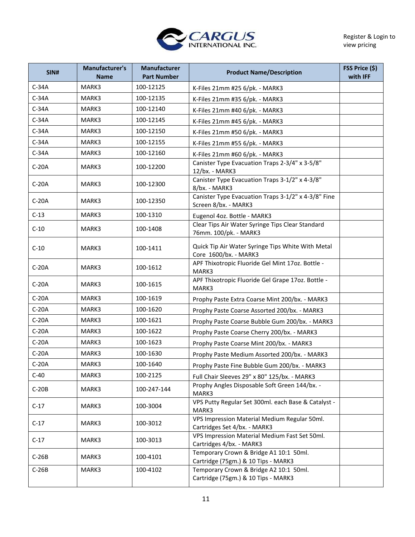

| SIN#    | Manufacturer's<br><b>Name</b> | <b>Manufacturer</b><br><b>Part Number</b> | <b>Product Name/Description</b>                                               | FSS Price (\$)<br>with IFF |
|---------|-------------------------------|-------------------------------------------|-------------------------------------------------------------------------------|----------------------------|
| $C-34A$ | MARK3                         | 100-12125                                 | K-Files 21mm #25 6/pk. - MARK3                                                |                            |
| $C-34A$ | MARK3                         | 100-12135                                 | K-Files 21mm #35 6/pk. - MARK3                                                |                            |
| $C-34A$ | MARK3                         | 100-12140                                 | K-Files 21mm #40 6/pk. - MARK3                                                |                            |
| $C-34A$ | MARK3                         | 100-12145                                 | K-Files 21mm #45 6/pk. - MARK3                                                |                            |
| $C-34A$ | MARK3                         | 100-12150                                 | K-Files 21mm #50 6/pk. - MARK3                                                |                            |
| $C-34A$ | MARK3                         | 100-12155                                 | K-Files 21mm #55 6/pk. - MARK3                                                |                            |
| $C-34A$ | MARK3                         | 100-12160                                 | K-Files 21mm #60 6/pk. - MARK3                                                |                            |
| $C-20A$ | MARK3                         | 100-12200                                 | Canister Type Evacuation Traps 2-3/4" x 3-5/8"<br>12/bx. - MARK3              |                            |
| $C-20A$ | MARK3                         | 100-12300                                 | Canister Type Evacuation Traps 3-1/2" x 4-3/8"<br>8/bx. - MARK3               |                            |
| $C-20A$ | MARK3                         | 100-12350                                 | Canister Type Evacuation Traps 3-1/2" x 4-3/8" Fine<br>Screen 8/bx. - MARK3   |                            |
| $C-13$  | MARK3                         | 100-1310                                  | Eugenol 4oz. Bottle - MARK3                                                   |                            |
| $C-10$  | MARK3                         | 100-1408                                  | Clear Tips Air Water Syringe Tips Clear Standard<br>76mm. 100/pk. - MARK3     |                            |
| $C-10$  | MARK3                         | 100-1411                                  | Quick Tip Air Water Syringe Tips White With Metal<br>Core 1600/bx. - MARK3    |                            |
| $C-20A$ | MARK3                         | 100-1612                                  | APF Thixotropic Fluoride Gel Mint 17oz. Bottle -<br>MARK3                     |                            |
| $C-20A$ | MARK3                         | 100-1615                                  | APF Thixotropic Fluoride Gel Grape 17oz. Bottle -<br>MARK3                    |                            |
| $C-20A$ | MARK3                         | 100-1619                                  | Prophy Paste Extra Coarse Mint 200/bx. - MARK3                                |                            |
| $C-20A$ | MARK3                         | 100-1620                                  | Prophy Paste Coarse Assorted 200/bx. - MARK3                                  |                            |
| $C-20A$ | MARK3                         | 100-1621                                  | Prophy Paste Coarse Bubble Gum 200/bx. - MARK3                                |                            |
| $C-20A$ | MARK3                         | 100-1622                                  | Prophy Paste Coarse Cherry 200/bx. - MARK3                                    |                            |
| $C-20A$ | MARK3                         | 100-1623                                  | Prophy Paste Coarse Mint 200/bx. - MARK3                                      |                            |
| $C-20A$ | MARK3                         | 100-1630                                  | Prophy Paste Medium Assorted 200/bx. - MARK3                                  |                            |
| $C-20A$ | MARK3                         | 100-1640                                  | Prophy Paste Fine Bubble Gum 200/bx. - MARK3                                  |                            |
| C-40    | MARK3                         | 100-2125                                  | Full Chair Sleeves 29" x 80" 125/bx. - MARK3                                  |                            |
| $C-20B$ | MARK3                         | 100-247-144                               | Prophy Angles Disposable Soft Green 144/bx. -<br>MARK3                        |                            |
| $C-17$  | MARK3                         | 100-3004                                  | VPS Putty Regular Set 300ml. each Base & Catalyst -<br>MARK3                  |                            |
| $C-17$  | MARK3                         | 100-3012                                  | VPS Impression Material Medium Regular 50ml.<br>Cartridges Set 4/bx. - MARK3  |                            |
| $C-17$  | MARK3                         | 100-3013                                  | VPS Impression Material Medium Fast Set 50ml.<br>Cartridges 4/bx. - MARK3     |                            |
| $C-26B$ | MARK3                         | 100-4101                                  | Temporary Crown & Bridge A1 10:1 50ml.<br>Cartridge (75gm.) & 10 Tips - MARK3 |                            |
| $C-26B$ | MARK3                         | 100-4102                                  | Temporary Crown & Bridge A2 10:1 50ml.<br>Cartridge (75gm.) & 10 Tips - MARK3 |                            |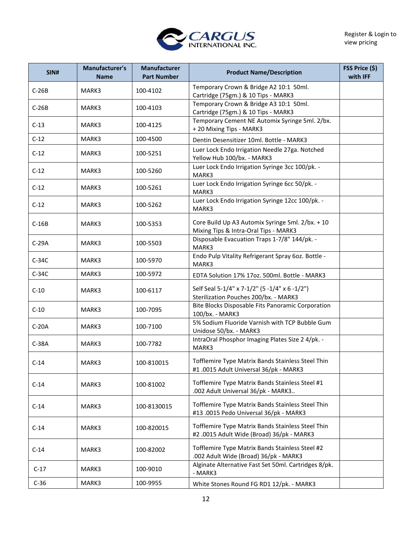

| <b>SIN#</b> | <b>Manufacturer's</b><br><b>Name</b> | Manufacturer<br><b>Part Number</b> | <b>Product Name/Description</b>                                                                | FSS Price (\$)<br>with IFF |
|-------------|--------------------------------------|------------------------------------|------------------------------------------------------------------------------------------------|----------------------------|
| $C-26B$     | MARK3                                | 100-4102                           | Temporary Crown & Bridge A2 10:1 50ml.<br>Cartridge (75gm.) & 10 Tips - MARK3                  |                            |
| $C-26B$     | MARK3                                | 100-4103                           | Temporary Crown & Bridge A3 10:1 50ml.<br>Cartridge (75gm.) & 10 Tips - MARK3                  |                            |
| $C-13$      | MARK3                                | 100-4125                           | Temporary Cement NE Automix Syringe 5ml. 2/bx.<br>+ 20 Mixing Tips - MARK3                     |                            |
| $C-12$      | MARK3                                | 100-4500                           | Dentin Desensitizer 10ml. Bottle - MARK3                                                       |                            |
| $C-12$      | MARK3                                | 100-5251                           | Luer Lock Endo Irrigation Needle 27ga. Notched<br>Yellow Hub 100/bx. - MARK3                   |                            |
| $C-12$      | MARK3                                | 100-5260                           | Luer Lock Endo Irrigation Syringe 3cc 100/pk. -<br>MARK3                                       |                            |
| $C-12$      | MARK3                                | 100-5261                           | Luer Lock Endo Irrigation Syringe 6cc 50/pk. -<br>MARK3                                        |                            |
| $C-12$      | MARK3                                | 100-5262                           | Luer Lock Endo Irrigation Syringe 12cc 100/pk. -<br>MARK3                                      |                            |
| $C-16B$     | MARK3                                | 100-5353                           | Core Build Up A3 Automix Syringe 5ml. 2/bx. + 10<br>Mixing Tips & Intra-Oral Tips - MARK3      |                            |
| $C-29A$     | MARK3                                | 100-5503                           | Disposable Evacuation Traps 1-7/8" 144/pk. -<br>MARK3                                          |                            |
| $C-34C$     | MARK3                                | 100-5970                           | Endo Pulp Vitality Refrigerant Spray 60z. Bottle -<br>MARK3                                    |                            |
| $C-34C$     | MARK3                                | 100-5972                           | EDTA Solution 17% 17oz. 500ml. Bottle - MARK3                                                  |                            |
| $C-10$      | MARK3                                | 100-6117                           | Self Seal 5-1/4" x 7-1/2" (5 -1/4" x 6 -1/2")<br>Sterilization Pouches 200/bx. - MARK3         |                            |
| $C-10$      | MARK3                                | 100-7095                           | Bite Blocks Disposable Fits Panoramic Corporation<br>100/bx. - MARK3                           |                            |
| $C-20A$     | MARK3                                | 100-7100                           | 5% Sodium Fluoride Varnish with TCP Bubble Gum<br>Unidose 50/bx. - MARK3                       |                            |
| $C-38A$     | MARK3                                | 100-7782                           | IntraOral Phosphor Imaging Plates Size 2 4/pk. -<br>MARK3                                      |                            |
| $C-14$      | MARK3                                | 100-810015                         | Tofflemire Type Matrix Bands Stainless Steel Thin<br>#1 .0015 Adult Universal 36/pk - MARK3    |                            |
| $C-14$      | MARK3                                | 100-81002                          | Tofflemire Type Matrix Bands Stainless Steel #1<br>.002 Adult Universal 36/pk - MARK3          |                            |
| $C-14$      | MARK3                                | 100-8130015                        | Tofflemire Type Matrix Bands Stainless Steel Thin<br>#13 .0015 Pedo Universal 36/pk - MARK3    |                            |
| $C-14$      | MARK3                                | 100-820015                         | Tofflemire Type Matrix Bands Stainless Steel Thin<br>#2 .0015 Adult Wide (Broad) 36/pk - MARK3 |                            |
| $C-14$      | MARK3                                | 100-82002                          | Tofflemire Type Matrix Bands Stainless Steel #2<br>.002 Adult Wide (Broad) 36/pk - MARK3       |                            |
| $C-17$      | MARK3                                | 100-9010                           | Alginate Alternative Fast Set 50ml. Cartridges 8/pk.<br>- MARK3                                |                            |
| $C-36$      | MARK3                                | 100-9955                           | White Stones Round FG RD1 12/pk. - MARK3                                                       |                            |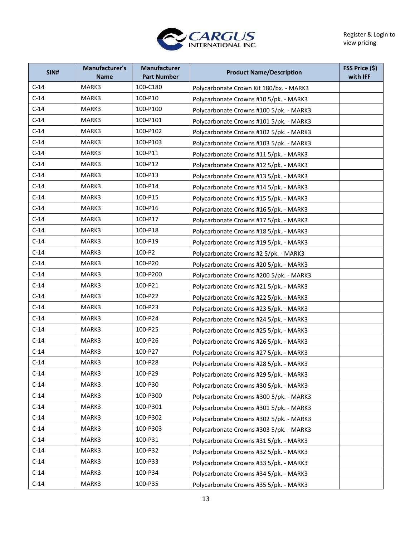

| SIN#   | <b>Manufacturer's</b><br><b>Name</b> | Manufacturer<br><b>Part Number</b> | <b>Product Name/Description</b>         | FSS Price (\$)<br>with IFF |
|--------|--------------------------------------|------------------------------------|-----------------------------------------|----------------------------|
| $C-14$ | MARK3                                | 100-C180                           | Polycarbonate Crown Kit 180/bx. - MARK3 |                            |
| $C-14$ | MARK3                                | 100-P10                            | Polycarbonate Crowns #10 5/pk. - MARK3  |                            |
| $C-14$ | MARK3                                | 100-P100                           | Polycarbonate Crowns #100 5/pk. - MARK3 |                            |
| $C-14$ | MARK3                                | 100-P101                           | Polycarbonate Crowns #101 5/pk. - MARK3 |                            |
| $C-14$ | MARK3                                | 100-P102                           | Polycarbonate Crowns #102 5/pk. - MARK3 |                            |
| $C-14$ | MARK3                                | 100-P103                           | Polycarbonate Crowns #103 5/pk. - MARK3 |                            |
| $C-14$ | MARK3                                | 100-P11                            | Polycarbonate Crowns #11 5/pk. - MARK3  |                            |
| $C-14$ | MARK3                                | 100-P12                            | Polycarbonate Crowns #12 5/pk. - MARK3  |                            |
| $C-14$ | MARK3                                | 100-P13                            | Polycarbonate Crowns #13 5/pk. - MARK3  |                            |
| $C-14$ | MARK3                                | 100-P14                            | Polycarbonate Crowns #14 5/pk. - MARK3  |                            |
| $C-14$ | MARK3                                | 100-P15                            | Polycarbonate Crowns #15 5/pk. - MARK3  |                            |
| $C-14$ | MARK3                                | 100-P16                            | Polycarbonate Crowns #16 5/pk. - MARK3  |                            |
| $C-14$ | MARK3                                | 100-P17                            | Polycarbonate Crowns #17 5/pk. - MARK3  |                            |
| $C-14$ | MARK3                                | 100-P18                            | Polycarbonate Crowns #18 5/pk. - MARK3  |                            |
| $C-14$ | MARK3                                | 100-P19                            | Polycarbonate Crowns #19 5/pk. - MARK3  |                            |
| $C-14$ | MARK3                                | 100-P2                             | Polycarbonate Crowns #2 5/pk. - MARK3   |                            |
| $C-14$ | MARK3                                | 100-P20                            | Polycarbonate Crowns #20 5/pk. - MARK3  |                            |
| $C-14$ | MARK3                                | 100-P200                           | Polycarbonate Crowns #200 5/pk. - MARK3 |                            |
| $C-14$ | MARK3                                | 100-P21                            | Polycarbonate Crowns #21 5/pk. - MARK3  |                            |
| $C-14$ | MARK3                                | 100-P22                            | Polycarbonate Crowns #22 5/pk. - MARK3  |                            |
| $C-14$ | MARK3                                | 100-P23                            | Polycarbonate Crowns #23 5/pk. - MARK3  |                            |
| $C-14$ | MARK3                                | 100-P24                            | Polycarbonate Crowns #24 5/pk. - MARK3  |                            |
| $C-14$ | MARK3                                | 100-P25                            | Polycarbonate Crowns #25 5/pk. - MARK3  |                            |
| $C-14$ | MARK3                                | 100-P26                            | Polycarbonate Crowns #26 5/pk. - MARK3  |                            |
| $C-14$ | MARK3                                | 100-P27                            | Polycarbonate Crowns #27 5/pk. - MARK3  |                            |
| $C-14$ | MARK3                                | 100-P28                            | Polycarbonate Crowns #28 5/pk. - MARK3  |                            |
| $C-14$ | MARK3                                | 100-P29                            | Polycarbonate Crowns #29 5/pk. - MARK3  |                            |
| $C-14$ | MARK3                                | 100-P30                            | Polycarbonate Crowns #30 5/pk. - MARK3  |                            |
| $C-14$ | MARK3                                | 100-P300                           | Polycarbonate Crowns #300 5/pk. - MARK3 |                            |
| $C-14$ | MARK3                                | 100-P301                           | Polycarbonate Crowns #301 5/pk. - MARK3 |                            |
| $C-14$ | MARK3                                | 100-P302                           | Polycarbonate Crowns #302 5/pk. - MARK3 |                            |
| $C-14$ | MARK3                                | 100-P303                           | Polycarbonate Crowns #303 5/pk. - MARK3 |                            |
| $C-14$ | MARK3                                | 100-P31                            | Polycarbonate Crowns #31 5/pk. - MARK3  |                            |
| $C-14$ | MARK3                                | 100-P32                            | Polycarbonate Crowns #32 5/pk. - MARK3  |                            |
| $C-14$ | MARK3                                | 100-P33                            | Polycarbonate Crowns #33 5/pk. - MARK3  |                            |
| $C-14$ | MARK3                                | 100-P34                            | Polycarbonate Crowns #34 5/pk. - MARK3  |                            |
| $C-14$ | MARK3                                | 100-P35                            | Polycarbonate Crowns #35 5/pk. - MARK3  |                            |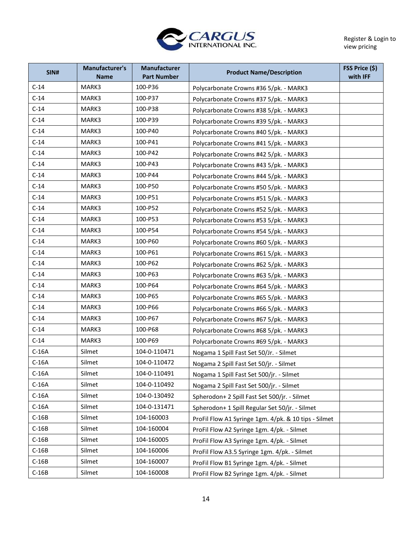

Register & Login to view pricing

| SIN#    | Manufacturer's<br><b>Name</b> | Manufacturer<br><b>Part Number</b> | <b>Product Name/Description</b>                      | FSS Price (\$)<br>with IFF |
|---------|-------------------------------|------------------------------------|------------------------------------------------------|----------------------------|
| $C-14$  | MARK3                         | 100-P36                            | Polycarbonate Crowns #36 5/pk. - MARK3               |                            |
| $C-14$  | MARK3                         | 100-P37                            | Polycarbonate Crowns #37 5/pk. - MARK3               |                            |
| $C-14$  | MARK3                         | 100-P38                            | Polycarbonate Crowns #38 5/pk. - MARK3               |                            |
| $C-14$  | MARK3                         | 100-P39                            | Polycarbonate Crowns #39 5/pk. - MARK3               |                            |
| $C-14$  | MARK3                         | 100-P40                            | Polycarbonate Crowns #40 5/pk. - MARK3               |                            |
| $C-14$  | MARK3                         | 100-P41                            | Polycarbonate Crowns #41 5/pk. - MARK3               |                            |
| $C-14$  | MARK3                         | 100-P42                            | Polycarbonate Crowns #42 5/pk. - MARK3               |                            |
| $C-14$  | MARK3                         | 100-P43                            | Polycarbonate Crowns #43 5/pk. - MARK3               |                            |
| $C-14$  | MARK3                         | 100-P44                            | Polycarbonate Crowns #44 5/pk. - MARK3               |                            |
| $C-14$  | MARK3                         | 100-P50                            | Polycarbonate Crowns #50 5/pk. - MARK3               |                            |
| $C-14$  | MARK3                         | 100-P51                            | Polycarbonate Crowns #51 5/pk. - MARK3               |                            |
| $C-14$  | MARK3                         | 100-P52                            | Polycarbonate Crowns #52 5/pk. - MARK3               |                            |
| $C-14$  | MARK3                         | 100-P53                            | Polycarbonate Crowns #53 5/pk. - MARK3               |                            |
| $C-14$  | MARK3                         | 100-P54                            | Polycarbonate Crowns #54 5/pk. - MARK3               |                            |
| $C-14$  | MARK3                         | 100-P60                            | Polycarbonate Crowns #60 5/pk. - MARK3               |                            |
| $C-14$  | MARK3                         | 100-P61                            | Polycarbonate Crowns #61 5/pk. - MARK3               |                            |
| $C-14$  | MARK3                         | 100-P62                            | Polycarbonate Crowns #62 5/pk. - MARK3               |                            |
| $C-14$  | MARK3                         | 100-P63                            | Polycarbonate Crowns #63 5/pk. - MARK3               |                            |
| $C-14$  | MARK3                         | 100-P64                            | Polycarbonate Crowns #64 5/pk. - MARK3               |                            |
| $C-14$  | MARK3                         | 100-P65                            | Polycarbonate Crowns #65 5/pk. - MARK3               |                            |
| $C-14$  | MARK3                         | 100-P66                            | Polycarbonate Crowns #66 5/pk. - MARK3               |                            |
| $C-14$  | MARK3                         | 100-P67                            | Polycarbonate Crowns #67 5/pk. - MARK3               |                            |
| $C-14$  | MARK3                         | 100-P68                            | Polycarbonate Crowns #68 5/pk. - MARK3               |                            |
| $C-14$  | MARK3                         | 100-P69                            | Polycarbonate Crowns #69 5/pk. - MARK3               |                            |
| $C-16A$ | Silmet                        | 104-0-110471                       | Nogama 1 Spill Fast Set 50/Jr. - Silmet              |                            |
| $C-16A$ | Silmet                        | 104-0-110472                       | Nogama 2 Spill Fast Set 50/jr. - Silmet              |                            |
| $C-16A$ | Silmet                        | 104-0-110491                       | Nogama 1 Spill Fast Set 500/jr. - Silmet             |                            |
| $C-16A$ | Silmet                        | 104-0-110492                       | Nogama 2 Spill Fast Set 500/jr. - Silmet             |                            |
| $C-16A$ | Silmet                        | 104-0-130492                       | Spherodon+ 2 Spill Fast Set 500/jr. - Silmet         |                            |
| $C-16A$ | Silmet                        | 104-0-131471                       | Spherodon+ 1 Spill Regular Set 50/jr. - Silmet       |                            |
| $C-16B$ | Silmet                        | 104-160003                         | ProFil Flow A1 Syringe 1gm. 4/pk. & 10 tips - Silmet |                            |
| $C-16B$ | Silmet                        | 104-160004                         | ProFil Flow A2 Syringe 1gm. 4/pk. - Silmet           |                            |
| $C-16B$ | Silmet                        | 104-160005                         | ProFil Flow A3 Syringe 1gm. 4/pk. - Silmet           |                            |
| $C-16B$ | Silmet                        | 104-160006                         | ProFil Flow A3.5 Syringe 1gm. 4/pk. - Silmet         |                            |
| $C-16B$ | Silmet                        | 104-160007                         | ProFil Flow B1 Syringe 1gm. 4/pk. - Silmet           |                            |
| $C-16B$ | Silmet                        | 104-160008                         | ProFil Flow B2 Syringe 1gm. 4/pk. - Silmet           |                            |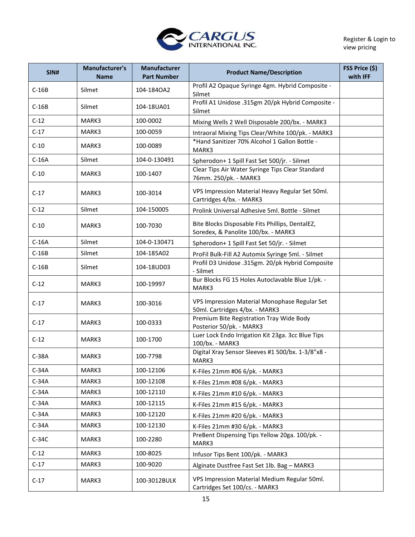

| <b>SIN#</b> | Manufacturer's<br><b>Name</b> | Manufacturer<br><b>Part Number</b> | <b>Product Name/Description</b>                                                        | FSS Price (\$)<br>with IFF |
|-------------|-------------------------------|------------------------------------|----------------------------------------------------------------------------------------|----------------------------|
| $C-16B$     | Silmet                        | 104-184OA2                         | Profil A2 Opaque Syringe 4gm. Hybrid Composite -<br>Silmet                             |                            |
| $C-16B$     | Silmet                        | 104-18UA01                         | Profil A1 Unidose .315gm 20/pk Hybrid Composite -<br>Silmet                            |                            |
| $C-12$      | MARK3                         | 100-0002                           | Mixing Wells 2 Well Disposable 200/bx. - MARK3                                         |                            |
| $C-17$      | MARK3                         | 100-0059                           | Intraoral Mixing Tips Clear/White 100/pk. - MARK3                                      |                            |
| $C-10$      | MARK3                         | 100-0089                           | *Hand Sanitizer 70% Alcohol 1 Gallon Bottle -<br>MARK3                                 |                            |
| $C-16A$     | Silmet                        | 104-0-130491                       | Spherodon+ 1 Spill Fast Set 500/jr. - Silmet                                           |                            |
| $C-10$      | MARK3                         | 100-1407                           | Clear Tips Air Water Syringe Tips Clear Standard<br>76mm. 250/pk. - MARK3              |                            |
| $C-17$      | MARK3                         | 100-3014                           | VPS Impression Material Heavy Regular Set 50ml.<br>Cartridges 4/bx. - MARK3            |                            |
| $C-12$      | Silmet                        | 104-150005                         | Prolink Universal Adhesive 5ml. Bottle - Silmet                                        |                            |
| $C-10$      | MARK3                         | 100-7030                           | Bite Blocks Disposable Fits Phillips, DentalEZ,<br>Soredex, & Panolite 100/bx. - MARK3 |                            |
| $C-16A$     | Silmet                        | 104-0-130471                       | Spherodon+ 1 Spill Fast Set 50/jr. - Silmet                                            |                            |
| $C-16B$     | Silmet                        | 104-185A02                         | ProFil Bulk-Fill A2 Automix Syringe 5ml. - Silmet                                      |                            |
| $C-16B$     | Silmet                        | 104-18UD03                         | Profil D3 Unidose .315gm. 20/pk Hybrid Composite<br>- Silmet                           |                            |
| $C-12$      | MARK3                         | 100-19997                          | Bur Blocks FG 15 Holes Autoclavable Blue 1/pk. -<br>MARK3                              |                            |
| $C-17$      | MARK3                         | 100-3016                           | VPS Impression Material Monophase Regular Set<br>50ml. Cartridges 4/bx. - MARK3        |                            |
| $C-17$      | MARK3                         | 100-0333                           | Premium Bite Registration Tray Wide Body<br>Posterior 50/pk. - MARK3                   |                            |
| $C-12$      | MARK3                         | 100-1700                           | Luer Lock Endo Irrigation Kit 23ga. 3cc Blue Tips<br>100/bx. - MARK3                   |                            |
| $C-38A$     | MARK3                         | 100-7798                           | Digital Xray Sensor Sleeves #1 500/bx. 1-3/8"x8 -<br>MARK3                             |                            |
| $C-34A$     | MARK3                         | 100-12106                          | K-Files 21mm #06 6/pk. - MARK3                                                         |                            |
| $C-34A$     | MARK3                         | 100-12108                          | K-Files 21mm #08 6/pk. - MARK3                                                         |                            |
| $C-34A$     | MARK3                         | 100-12110                          | K-Files 21mm #10 6/pk. - MARK3                                                         |                            |
| $C-34A$     | MARK3                         | 100-12115                          | K-Files 21mm #15 6/pk. - MARK3                                                         |                            |
| $C-34A$     | MARK3                         | 100-12120                          | K-Files 21mm #20 6/pk. - MARK3                                                         |                            |
| $C-34A$     | MARK3                         | 100-12130                          | K-Files 21mm #30 6/pk. - MARK3                                                         |                            |
| $C-34C$     | MARK3                         | 100-2280                           | PreBent Dispensing Tips Yellow 20ga. 100/pk. -<br>MARK3                                |                            |
| $C-12$      | MARK3                         | 100-8025                           | Infusor Tips Bent 100/pk. - MARK3                                                      |                            |
| $C-17$      | MARK3                         | 100-9020                           | Alginate Dustfree Fast Set 1lb. Bag - MARK3                                            |                            |
| $C-17$      | MARK3                         | 100-3012BULK                       | VPS Impression Material Medium Regular 50ml.<br>Cartridges Set 100/cs. - MARK3         |                            |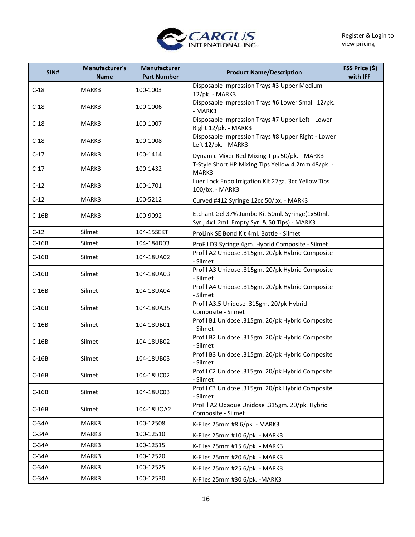

| SIN#    | Manufacturer's<br><b>Name</b> | <b>Manufacturer</b><br><b>Part Number</b> | <b>Product Name/Description</b>                                                                 | FSS Price (\$)<br>with IFF |
|---------|-------------------------------|-------------------------------------------|-------------------------------------------------------------------------------------------------|----------------------------|
| $C-18$  | MARK3                         | 100-1003                                  | Disposable Impression Trays #3 Upper Medium<br>12/pk. - MARK3                                   |                            |
| $C-18$  | MARK3                         | 100-1006                                  | Disposable Impression Trays #6 Lower Small 12/pk.<br>- MARK3                                    |                            |
| $C-18$  | MARK3                         | 100-1007                                  | Disposable Impression Trays #7 Upper Left - Lower<br>Right 12/pk. - MARK3                       |                            |
| $C-18$  | MARK3                         | 100-1008                                  | Disposable Impression Trays #8 Upper Right - Lower<br>Left 12/pk. - MARK3                       |                            |
| $C-17$  | MARK3                         | 100-1414                                  | Dynamic Mixer Red Mixing Tips 50/pk. - MARK3                                                    |                            |
| $C-17$  | MARK3                         | 100-1432                                  | T-Style Short HP Mixing Tips Yellow 4.2mm 48/pk. -<br>MARK3                                     |                            |
| $C-12$  | MARK3                         | 100-1701                                  | Luer Lock Endo Irrigation Kit 27ga. 3cc Yellow Tips<br>100/bx. - MARK3                          |                            |
| $C-12$  | MARK3                         | 100-5212                                  | Curved #412 Syringe 12cc 50/bx. - MARK3                                                         |                            |
| $C-16B$ | MARK3                         | 100-9092                                  | Etchant Gel 37% Jumbo Kit 50ml. Syringe(1x50ml.<br>Syr., 4x1.2ml. Empty Syr. & 50 Tips) - MARK3 |                            |
| $C-12$  | Silmet                        | 104-15SEKT                                | ProLink SE Bond Kit 4ml. Bottle - Silmet                                                        |                            |
| $C-16B$ | Silmet                        | 104-184D03                                | ProFil D3 Syringe 4gm. Hybrid Composite - Silmet                                                |                            |
| $C-16B$ | Silmet                        | 104-18UA02                                | Profil A2 Unidose .315gm. 20/pk Hybrid Composite<br>- Silmet                                    |                            |
| $C-16B$ | Silmet                        | 104-18UA03                                | Profil A3 Unidose .315gm. 20/pk Hybrid Composite<br>- Silmet                                    |                            |
| $C-16B$ | Silmet                        | 104-18UA04                                | Profil A4 Unidose .315gm. 20/pk Hybrid Composite<br>- Silmet                                    |                            |
| $C-16B$ | Silmet                        | 104-18UA35                                | Profil A3.5 Unidose .315gm. 20/pk Hybrid<br>Composite - Silmet                                  |                            |
| $C-16B$ | Silmet                        | 104-18UB01                                | Profil B1 Unidose .315gm. 20/pk Hybrid Composite<br>- Silmet                                    |                            |
| $C-16B$ | Silmet                        | 104-18UB02                                | Profil B2 Unidose .315gm. 20/pk Hybrid Composite<br>- Silmet                                    |                            |
| $C-16B$ | Silmet                        | 104-18UB03                                | Profil B3 Unidose .315gm. 20/pk Hybrid Composite<br>- Silmet                                    |                            |
| $C-16B$ | Silmet                        | 104-18UC02                                | Profil C2 Unidose .315gm. 20/pk Hybrid Composite<br>- Silmet                                    |                            |
| $C-16B$ | Silmet                        | 104-18UC03                                | Profil C3 Unidose .315gm. 20/pk Hybrid Composite<br>- Silmet                                    |                            |
| $C-16B$ | Silmet                        | 104-18UOA2                                | ProFil A2 Opaque Unidose .315gm. 20/pk. Hybrid<br>Composite - Silmet                            |                            |
| $C-34A$ | MARK3                         | 100-12508                                 | K-Files 25mm #8 6/pk. - MARK3                                                                   |                            |
| $C-34A$ | MARK3                         | 100-12510                                 | K-Files 25mm #10 6/pk. - MARK3                                                                  |                            |
| $C-34A$ | MARK3                         | 100-12515                                 | K-Files 25mm #15 6/pk. - MARK3                                                                  |                            |
| $C-34A$ | MARK3                         | 100-12520                                 | K-Files 25mm #20 6/pk. - MARK3                                                                  |                            |
| $C-34A$ | MARK3                         | 100-12525                                 | K-Files 25mm #25 6/pk. - MARK3                                                                  |                            |
| $C-34A$ | MARK3                         | 100-12530                                 | K-Files 25mm #30 6/pk. - MARK3                                                                  |                            |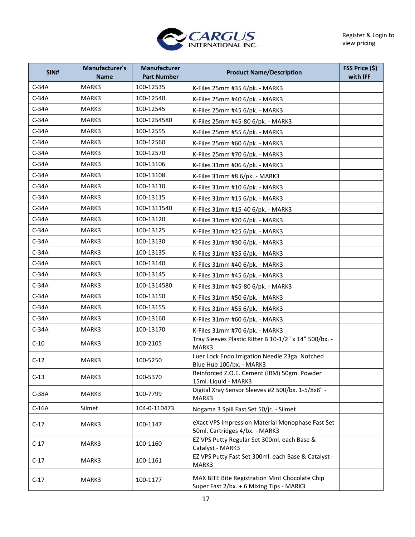

| SIN#    | <b>Manufacturer's</b><br><b>Name</b> | <b>Manufacturer</b><br><b>Part Number</b> | <b>Product Name/Description</b>                                                            | FSS Price (\$)<br>with IFF |
|---------|--------------------------------------|-------------------------------------------|--------------------------------------------------------------------------------------------|----------------------------|
| $C-34A$ | MARK3                                | 100-12535                                 | K-Files 25mm #35 6/pk. - MARK3                                                             |                            |
| $C-34A$ | MARK3                                | 100-12540                                 | K-Files 25mm #40 6/pk. - MARK3                                                             |                            |
| $C-34A$ | MARK3                                | 100-12545                                 | K-Files 25mm #45 6/pk. - MARK3                                                             |                            |
| $C-34A$ | MARK3                                | 100-1254580                               | K-Files 25mm #45-80 6/pk. - MARK3                                                          |                            |
| $C-34A$ | MARK3                                | 100-12555                                 | K-Files 25mm #55 6/pk. - MARK3                                                             |                            |
| $C-34A$ | MARK3                                | 100-12560                                 | K-Files 25mm #60 6/pk. - MARK3                                                             |                            |
| $C-34A$ | MARK3                                | 100-12570                                 | K-Files 25mm #70 6/pk. - MARK3                                                             |                            |
| $C-34A$ | MARK3                                | 100-13106                                 | K-Files 31mm #06 6/pk. - MARK3                                                             |                            |
| $C-34A$ | MARK3                                | 100-13108                                 | K-Files 31mm #8 6/pk. - MARK3                                                              |                            |
| $C-34A$ | MARK3                                | 100-13110                                 | K-Files 31mm #10 6/pk. - MARK3                                                             |                            |
| $C-34A$ | MARK3                                | 100-13115                                 | K-Files 31mm #15 6/pk. - MARK3                                                             |                            |
| $C-34A$ | MARK3                                | 100-1311540                               | K-Files 31mm #15-40 6/pk. - MARK3                                                          |                            |
| $C-34A$ | MARK3                                | 100-13120                                 | K-Files 31mm #20 6/pk. - MARK3                                                             |                            |
| $C-34A$ | MARK3                                | 100-13125                                 | K-Files 31mm #25 6/pk. - MARK3                                                             |                            |
| $C-34A$ | MARK3                                | 100-13130                                 | K-Files 31mm #30 6/pk. - MARK3                                                             |                            |
| $C-34A$ | MARK3                                | 100-13135                                 | K-Files 31mm #35 6/pk. - MARK3                                                             |                            |
| $C-34A$ | MARK3                                | 100-13140                                 | K-Files 31mm #40 6/pk. - MARK3                                                             |                            |
| $C-34A$ | MARK3                                | 100-13145                                 | K-Files 31mm #45 6/pk. - MARK3                                                             |                            |
| $C-34A$ | MARK3                                | 100-1314580                               | K-Files 31mm #45-80 6/pk. - MARK3                                                          |                            |
| $C-34A$ | MARK3                                | 100-13150                                 | K-Files 31mm #50 6/pk. - MARK3                                                             |                            |
| $C-34A$ | MARK3                                | 100-13155                                 | K-Files 31mm #55 6/pk. - MARK3                                                             |                            |
| $C-34A$ | MARK3                                | 100-13160                                 | K-Files 31mm #60 6/pk. - MARK3                                                             |                            |
| $C-34A$ | MARK3                                | 100-13170                                 | K-Files 31mm #70 6/pk. - MARK3                                                             |                            |
| $C-10$  | MARK3                                | 100-2105                                  | Tray Sleeves Plastic Ritter B 10-1/2" x 14" 500/bx. -<br>MARK3                             |                            |
| $C-12$  | MARK3                                | 100-5250                                  | Luer Lock Endo Irrigation Needle 23ga. Notched<br>Blue Hub 100/bx. - MARK3                 |                            |
| $C-13$  | MARK3                                | 100-5370                                  | Reinforced Z.O.E. Cement (IRM) 50gm. Powder<br>15ml. Liquid - MARK3                        |                            |
| $C-38A$ | MARK3                                | 100-7799                                  | Digital Xray Sensor Sleeves #2 500/bx. 1-5/8x8" -<br>MARK3                                 |                            |
| $C-16A$ | Silmet                               | 104-0-110473                              | Nogama 3 Spill Fast Set 50/jr. - Silmet                                                    |                            |
| $C-17$  | MARK3                                | 100-1147                                  | eXact VPS Impression Material Monophase Fast Set<br>50ml. Cartridges 4/bx. - MARK3         |                            |
| $C-17$  | MARK3                                | 100-1160                                  | EZ VPS Putty Regular Set 300ml. each Base &<br>Catalyst - MARK3                            |                            |
| $C-17$  | MARK3                                | 100-1161                                  | EZ VPS Putty Fast Set 300ml. each Base & Catalyst -<br>MARK3                               |                            |
| $C-17$  | MARK3                                | 100-1177                                  | MAX BITE Bite Registration Mint Chocolate Chip<br>Super Fast 2/bx. + 6 Mixing Tips - MARK3 |                            |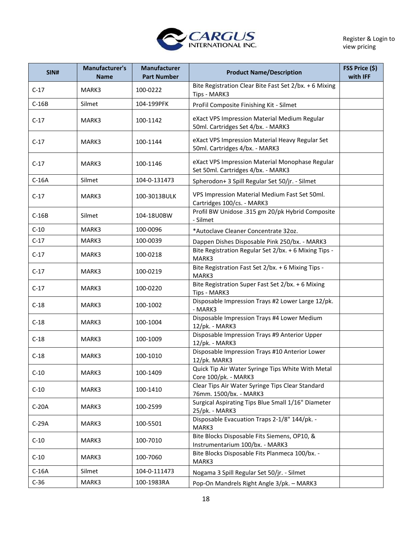

| SIN#    | Manufacturer's<br><b>Name</b> | <b>Manufacturer</b><br><b>Part Number</b> | <b>Product Name/Description</b>                                                       | FSS Price (\$)<br>with IFF |
|---------|-------------------------------|-------------------------------------------|---------------------------------------------------------------------------------------|----------------------------|
| $C-17$  | MARK3                         | 100-0222                                  | Bite Registration Clear Bite Fast Set 2/bx. + 6 Mixing<br>Tips - MARK3                |                            |
| $C-16B$ | Silmet                        | 104-199PFK                                | ProFil Composite Finishing Kit - Silmet                                               |                            |
| $C-17$  | MARK3                         | 100-1142                                  | eXact VPS Impression Material Medium Regular<br>50ml. Cartridges Set 4/bx. - MARK3    |                            |
| $C-17$  | MARK3                         | 100-1144                                  | eXact VPS Impression Material Heavy Regular Set<br>50ml. Cartridges 4/bx. - MARK3     |                            |
| $C-17$  | MARK3                         | 100-1146                                  | eXact VPS Impression Material Monophase Regular<br>Set 50ml. Cartridges 4/bx. - MARK3 |                            |
| $C-16A$ | Silmet                        | 104-0-131473                              | Spherodon+ 3 Spill Regular Set 50/jr. - Silmet                                        |                            |
| $C-17$  | MARK3                         | 100-3013BULK                              | VPS Impression Material Medium Fast Set 50ml.<br>Cartridges 100/cs. - MARK3           |                            |
| $C-16B$ | Silmet                        | 104-18U0BW                                | Profil BW Unidose .315 gm 20/pk Hybrid Composite<br>- Silmet                          |                            |
| $C-10$  | MARK3                         | 100-0096                                  | *Autoclave Cleaner Concentrate 32oz.                                                  |                            |
| $C-17$  | MARK3                         | 100-0039                                  | Dappen Dishes Disposable Pink 250/bx. - MARK3                                         |                            |
| $C-17$  | MARK3                         | 100-0218                                  | Bite Registration Regular Set 2/bx. + 6 Mixing Tips -<br>MARK3                        |                            |
| $C-17$  | MARK3                         | 100-0219                                  | Bite Registration Fast Set 2/bx. + 6 Mixing Tips -<br>MARK3                           |                            |
| $C-17$  | MARK3                         | 100-0220                                  | Bite Registration Super Fast Set 2/bx. + 6 Mixing<br>Tips - MARK3                     |                            |
| $C-18$  | MARK3                         | 100-1002                                  | Disposable Impression Trays #2 Lower Large 12/pk.<br>- MARK3                          |                            |
| $C-18$  | MARK3                         | 100-1004                                  | Disposable Impression Trays #4 Lower Medium<br>12/pk. - MARK3                         |                            |
| $C-18$  | MARK3                         | 100-1009                                  | Disposable Impression Trays #9 Anterior Upper<br>12/pk. - MARK3                       |                            |
| $C-18$  | MARK3                         | 100-1010                                  | Disposable Impression Trays #10 Anterior Lower<br>12/pk. MARK3                        |                            |
| $C-10$  | MARK3                         | 100-1409                                  | Quick Tip Air Water Syringe Tips White With Metal<br>Core 100/pk. - MARK3             |                            |
| $C-10$  | MARK3                         | 100-1410                                  | Clear Tips Air Water Syringe Tips Clear Standard<br>76mm. 1500/bx. - MARK3            |                            |
| $C-20A$ | MARK3                         | 100-2599                                  | Surgical Aspirating Tips Blue Small 1/16" Diameter<br>25/pk. - MARK3                  |                            |
| $C-29A$ | MARK3                         | 100-5501                                  | Disposable Evacuation Traps 2-1/8" 144/pk. -<br>MARK3                                 |                            |
| $C-10$  | MARK3                         | 100-7010                                  | Bite Blocks Disposable Fits Siemens, OP10, &<br>Instrumentarium 100/bx. - MARK3       |                            |
| $C-10$  | MARK3                         | 100-7060                                  | Bite Blocks Disposable Fits Planmeca 100/bx. -<br>MARK3                               |                            |
| $C-16A$ | Silmet                        | 104-0-111473                              | Nogama 3 Spill Regular Set 50/jr. - Silmet                                            |                            |
| $C-36$  | MARK3                         | 100-1983RA                                | Pop-On Mandrels Right Angle 3/pk. - MARK3                                             |                            |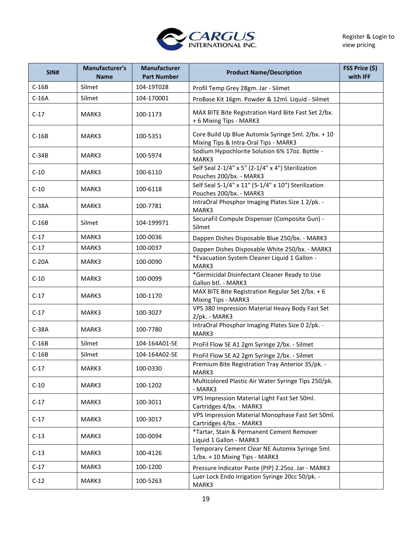

| SIN#    | Manufacturer's<br><b>Name</b> | Manufacturer<br><b>Part Number</b> | <b>Product Name/Description</b>                                                             | FSS Price (\$)<br>with IFF |
|---------|-------------------------------|------------------------------------|---------------------------------------------------------------------------------------------|----------------------------|
| $C-16B$ | Silmet                        | 104-19T028                         | Profil Temp Grey 28gm. Jar - Silmet                                                         |                            |
| $C-16A$ | Silmet                        | 104-170001                         | ProBase Kit 16gm. Powder & 12ml. Liquid - Silmet                                            |                            |
| $C-17$  | MARK3                         | 100-1173                           | MAX BITE Bite Registration Hard Bite Fast Set 2/bx.<br>+ 6 Mixing Tips - MARK3              |                            |
| $C-16B$ | MARK3                         | 100-5351                           | Core Build Up Blue Automix Syringe 5ml. 2/bx. + 10<br>Mixing Tips & Intra-Oral Tips - MARK3 |                            |
| $C-34B$ | MARK3                         | 100-5974                           | Sodium Hypochlorite Solution 6% 17oz. Bottle -<br>MARK3                                     |                            |
| $C-10$  | MARK3                         | 100-6110                           | Self Seal 2-1/4" x 5" (2-1/4" x 4") Sterilization<br>Pouches 200/bx. - MARK3                |                            |
| $C-10$  | MARK3                         | 100-6118                           | Self Seal 5-1/4" x 11" (5-1/4" x 10") Sterilization<br>Pouches 200/bx. - MARK3              |                            |
| $C-38A$ | MARK3                         | 100-7781                           | IntraOral Phosphor Imaging Plates Size 1 2/pk. -<br>MARK3                                   |                            |
| $C-16B$ | Silmet                        | 104-199971                         | SecuraFil Compule Dispenser (Composite Gun) -<br>Silmet                                     |                            |
| $C-17$  | MARK3                         | 100-0036                           | Dappen Dishes Disposable Blue 250/bx. - MARK3                                               |                            |
| $C-17$  | MARK3                         | 100-0037                           | Dappen Dishes Disposable White 250/bx. - MARK3                                              |                            |
| $C-20A$ | MARK3                         | 100-0090                           | *Evacuation System Cleaner Liquid 1 Gallon -<br>MARK3                                       |                            |
| $C-10$  | MARK3                         | 100-0099                           | *Germicidal Disinfectant Cleaner Ready to Use<br>Gallon btl. - MARK3                        |                            |
| $C-17$  | MARK3                         | 100-1170                           | MAX BITE Bite Registration Regular Set 2/bx. + 6<br>Mixing Tips - MARK3                     |                            |
| $C-17$  | MARK3                         | 100-3027                           | VPS 380 Impression Material Heavy Body Fast Set<br>2/pk. - MARK3                            |                            |
| $C-38A$ | MARK3                         | 100-7780                           | IntraOral Phosphor Imaging Plates Size 0 2/pk. -<br>MARK3                                   |                            |
| $C-16B$ | Silmet                        | 104-164A01-SE                      | ProFil Flow SE A1 2gm Syringe 2/bx. - Silmet                                                |                            |
| $C-16B$ | Silmet                        | 104-164A02-SE                      | ProFil Flow SE A2 2gm Syringe 2/bx. - Silmet                                                |                            |
| $C-17$  | MARK3                         | 100-0330                           | Premium Bite Registration Tray Anterior 35/pk. -<br>MARK3                                   |                            |
| $C-10$  | MARK3                         | 100-1202                           | Multicolored Plastic Air Water Syringe Tips 250/pk.<br>- MARK3                              |                            |
| $C-17$  | MARK3                         | 100-3011                           | VPS Impression Material Light Fast Set 50ml.<br>Cartridges 4/bx. - MARK3                    |                            |
| $C-17$  | MARK3                         | 100-3017                           | VPS Impression Material Monophase Fast Set 50ml.<br>Cartridges 4/bx. - MARK3                |                            |
| $C-13$  | MARK3                         | 100-0094                           | *Tartar, Stain & Permanent Cement Remover<br>Liquid 1 Gallon - MARK3                        |                            |
| $C-13$  | MARK3                         | 100-4126                           | Temporary Cement Clear NE Automix Syringe 5ml.<br>1/bx. + 10 Mixing Tips - MARK3            |                            |
| $C-17$  | MARK3                         | 100-1200                           | Pressure Indicator Paste (PIP) 2.25oz. Jar - MARK3                                          |                            |
| $C-12$  | MARK3                         | 100-5263                           | Luer Lock Endo Irrigation Syringe 20cc 50/pk. -<br>MARK3                                    |                            |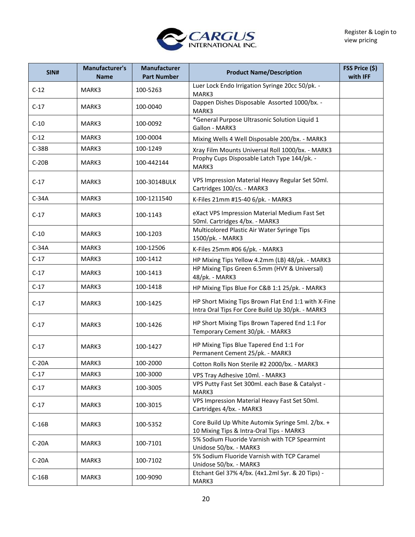

| SIN#    | Manufacturer's<br>Name | <b>Manufacturer</b><br><b>Part Number</b> | <b>Product Name/Description</b>                                                                         | FSS Price (\$)<br>with IFF |
|---------|------------------------|-------------------------------------------|---------------------------------------------------------------------------------------------------------|----------------------------|
| $C-12$  | MARK3                  | 100-5263                                  | Luer Lock Endo Irrigation Syringe 20cc 50/pk. -<br>MARK3                                                |                            |
| $C-17$  | MARK3                  | 100-0040                                  | Dappen Dishes Disposable Assorted 1000/bx. -<br>MARK3                                                   |                            |
| $C-10$  | MARK3                  | 100-0092                                  | *General Purpose Ultrasonic Solution Liquid 1<br>Gallon - MARK3                                         |                            |
| $C-12$  | MARK3                  | 100-0004                                  | Mixing Wells 4 Well Disposable 200/bx. - MARK3                                                          |                            |
| $C-38B$ | MARK3                  | 100-1249                                  | Xray Film Mounts Universal Roll 1000/bx. - MARK3                                                        |                            |
| $C-20B$ | MARK3                  | 100-442144                                | Prophy Cups Disposable Latch Type 144/pk. -<br>MARK3                                                    |                            |
| $C-17$  | MARK3                  | 100-3014BULK                              | VPS Impression Material Heavy Regular Set 50ml.<br>Cartridges 100/cs. - MARK3                           |                            |
| $C-34A$ | MARK3                  | 100-1211540                               | K-Files 21mm #15-40 6/pk. - MARK3                                                                       |                            |
| $C-17$  | MARK3                  | 100-1143                                  | eXact VPS Impression Material Medium Fast Set<br>50ml. Cartridges 4/bx. - MARK3                         |                            |
| $C-10$  | MARK3                  | 100-1203                                  | Multicolored Plastic Air Water Syringe Tips<br>1500/pk. - MARK3                                         |                            |
| $C-34A$ | MARK3                  | 100-12506                                 | K-Files 25mm #06 6/pk. - MARK3                                                                          |                            |
| $C-17$  | MARK3                  | 100-1412                                  | HP Mixing Tips Yellow 4.2mm (LB) 48/pk. - MARK3                                                         |                            |
| $C-17$  | MARK3                  | 100-1413                                  | HP Mixing Tips Green 6.5mm (HVY & Universal)<br>48/pk. - MARK3                                          |                            |
| $C-17$  | MARK3                  | 100-1418                                  | HP Mixing Tips Blue For C&B 1:1 25/pk. - MARK3                                                          |                            |
| $C-17$  | MARK3                  | 100-1425                                  | HP Short Mixing Tips Brown Flat End 1:1 with X-Fine<br>Intra Oral Tips For Core Build Up 30/pk. - MARK3 |                            |
| $C-17$  | MARK3                  | 100-1426                                  | HP Short Mixing Tips Brown Tapered End 1:1 For<br>Temporary Cement 30/pk. - MARK3                       |                            |
| $C-17$  | MARK3                  | 100-1427                                  | HP Mixing Tips Blue Tapered End 1:1 For<br>Permanent Cement 25/pk. - MARK3                              |                            |
| $C-20A$ | MARK3                  | 100-2000                                  | Cotton Rolls Non Sterile #2 2000/bx. - MARK3                                                            |                            |
| $C-17$  | MARK3                  | 100-3000                                  | VPS Tray Adhesive 10ml. - MARK3                                                                         |                            |
| $C-17$  | MARK3                  | 100-3005                                  | VPS Putty Fast Set 300ml. each Base & Catalyst -<br>MARK3                                               |                            |
| $C-17$  | MARK3                  | 100-3015                                  | VPS Impression Material Heavy Fast Set 50ml.<br>Cartridges 4/bx. - MARK3                                |                            |
| $C-16B$ | MARK3                  | 100-5352                                  | Core Build Up White Automix Syringe 5ml. 2/bx. +<br>10 Mixing Tips & Intra-Oral Tips - MARK3            |                            |
| $C-20A$ | MARK3                  | 100-7101                                  | 5% Sodium Fluoride Varnish with TCP Spearmint<br>Unidose 50/bx. - MARK3                                 |                            |
| $C-20A$ | MARK3                  | 100-7102                                  | 5% Sodium Fluoride Varnish with TCP Caramel<br>Unidose 50/bx. - MARK3                                   |                            |
| $C-16B$ | MARK3                  | 100-9090                                  | Etchant Gel 37% 4/bx. (4x1.2ml Syr. & 20 Tips) -<br>MARK3                                               |                            |